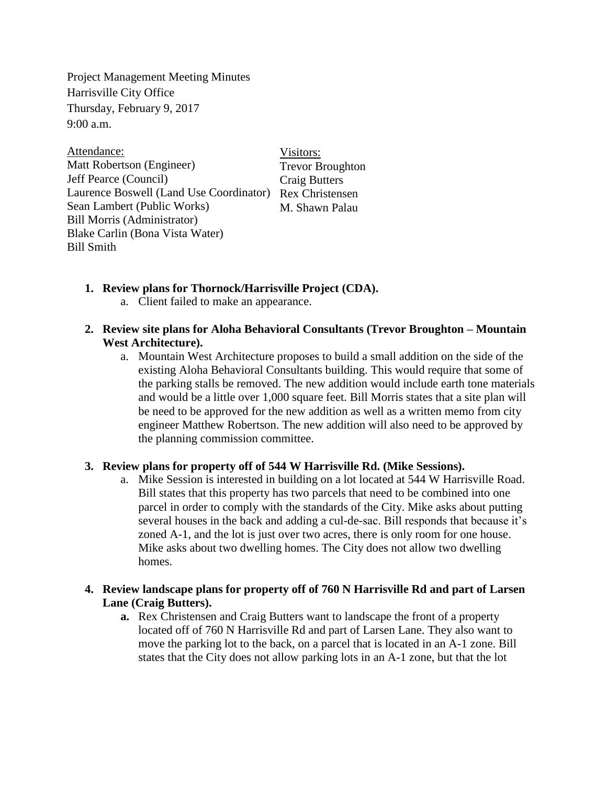Project Management Meeting Minutes Harrisville City Office Thursday, February 9, 2017  $9:00$  a.m.

Visitors: Trevor Broughton Craig Butters Laurence Boswell (Land Use Coordinator) Rex Christensen M. Shawn Palau Attendance: Matt Robertson (Engineer) Jeff Pearce (Council) Sean Lambert (Public Works) Bill Morris (Administrator) Blake Carlin (Bona Vista Water) Bill Smith

- **1. Review plans for Thornock/Harrisville Project (CDA).**
	- a. Client failed to make an appearance.

## **2. Review site plans for Aloha Behavioral Consultants (Trevor Broughton – Mountain West Architecture).**

a. Mountain West Architecture proposes to build a small addition on the side of the existing Aloha Behavioral Consultants building. This would require that some of the parking stalls be removed. The new addition would include earth tone materials and would be a little over 1,000 square feet. Bill Morris states that a site plan will be need to be approved for the new addition as well as a written memo from city engineer Matthew Robertson. The new addition will also need to be approved by the planning commission committee.

## **3. Review plans for property off of 544 W Harrisville Rd. (Mike Sessions).**

a. Mike Session is interested in building on a lot located at 544 W Harrisville Road. Bill states that this property has two parcels that need to be combined into one parcel in order to comply with the standards of the City. Mike asks about putting several houses in the back and adding a cul-de-sac. Bill responds that because it's zoned A-1, and the lot is just over two acres, there is only room for one house. Mike asks about two dwelling homes. The City does not allow two dwelling homes.

## **4. Review landscape plans for property off of 760 N Harrisville Rd and part of Larsen Lane (Craig Butters).**

**a.** Rex Christensen and Craig Butters want to landscape the front of a property located off of 760 N Harrisville Rd and part of Larsen Lane. They also want to move the parking lot to the back, on a parcel that is located in an A-1 zone. Bill states that the City does not allow parking lots in an A-1 zone, but that the lot